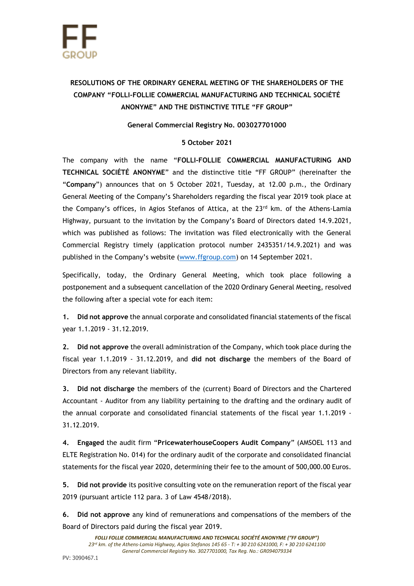

## **RESOLUTIONS OF THE ORDINARY GENERAL MEETING OF THE SHAREHOLDERS OF THE COMPANY "FOLLI-FOLLIE COMMERCIAL MANUFACTURING AND TECHNICAL SOCIÉTÉ ANONYME" AND THE DISTINCTIVE TITLE "FF GROUP"**

## **General Commercial Registry No. 003027701000**

## **5 October 2021**

The company with the name "**FOLLI-FOLLIE COMMERCIAL MANUFACTURING AND TECHNICAL SOCIÉTÉ ANONYME**" and the distinctive title "FF GROUP" (hereinafter the "**Company**") announces that on 5 October 2021, Tuesday, at 12.00 p.m., the Ordinary General Meeting of the Company's Shareholders regarding the fiscal year 2019 took place at the Company's offices, in Agios Stefanos of Attica, at the 23<sup>rd</sup> km. of the Athens-Lamia Highway, pursuant to the invitation by the Company's Board of Directors dated 14.9.2021, which was published as follows: The invitation was filed electronically with the General Commercial Registry timely (application protocol number 2435351/14.9.2021) and was published in the Company's website ([www.ffgroup.com\)](http://www.ffgroup.com/) on 14 September 2021.

Specifically, today, the Ordinary General Meeting, which took place following a postponement and a subsequent cancellation of the 2020 Ordinary General Meeting, resolved the following after a special vote for each item:

**1. Did not approve** the annual corporate and consolidated financial statements of the fiscal year 1.1.2019 - 31.12.2019.

**2. Did not approve** the overall administration of the Company, which took place during the fiscal year 1.1.2019 - 31.12.2019, and **did not discharge** the members of the Board of Directors from any relevant liability.

**3. Did not discharge** the members of the (current) Board of Directors and the Chartered Accountant - Auditor from any liability pertaining to the drafting and the ordinary audit of the annual corporate and consolidated financial statements of the fiscal year 1.1.2019 - 31.12.2019.

**4. Engaged** the audit firm "**PricewaterhouseCoopers Audit Company**" (AMSOEL 113 and ELTE Registration No. 014) for the ordinary audit of the corporate and consolidated financial statements for the fiscal year 2020, determining their fee to the amount of 500,000.00 Euros.

**5. Did not provide** its positive consulting vote on the remuneration report of the fiscal year 2019 (pursuant article 112 para. 3 of Law 4548/2018).

**6. Did not approve** any kind of remunerations and compensations of the members of the Board of Directors paid during the fiscal year 2019.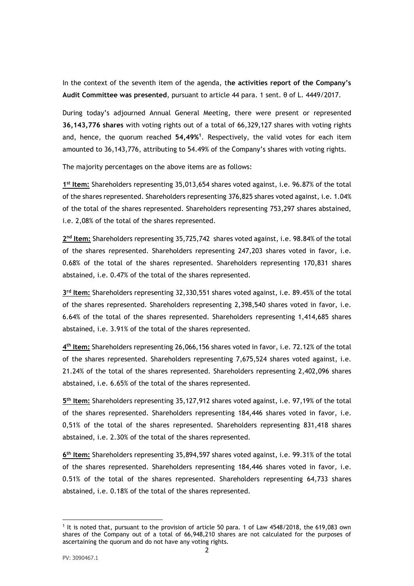In the context of the seventh item of the agenda, t**he activities report of the Company's Audit Committee was presented**, pursuant to article 44 para. 1 sent. θ of L. 4449/2017.

During today's adjourned Annual General Meeting, there were present or represented **36,143,776 shares** with voting rights out of a total of 66,329,127 shares with voting rights and, hence, the quorum reached **54,49% 1** . Respectively, the valid votes for each item amounted to 36,143,776, attributing to 54.49% of the Company's shares with voting rights.

The majority percentages on the above items are as follows:

**1 st Item:** Shareholders representing 35,013,654 shares voted against, i.e. 96.87% of the total of the shares represented. Shareholders representing 376,825 shares voted against, i.e. 1.04% of the total of the shares represented. Shareholders representing 753,297 shares abstained, i.e. 2,08% of the total of the shares represented.

2<sup>nd</sup> Item: Shareholders representing 35,725,742 shares voted against, i.e. 98.84% of the total of the shares represented. Shareholders representing 247,203 shares voted in favor, i.e. 0.68% of the total of the shares represented. Shareholders representing 170,831 shares abstained, i.e. 0.47% of the total of the shares represented.

**3 rd Item:** Shareholders representing 32,330,551 shares voted against, i.e. 89.45% of the total of the shares represented. Shareholders representing 2,398,540 shares voted in favor, i.e. 6.64% of the total of the shares represented. Shareholders representing 1,414,685 shares abstained, i.e. 3.91% of the total of the shares represented.

**4 th Item:** Shareholders representing 26,066,156 shares voted in favor, i.e. 72.12% of the total of the shares represented. Shareholders representing 7,675,524 shares voted against, i.e. 21.24% of the total of the shares represented. Shareholders representing 2,402,096 shares abstained, i.e. 6.65% of the total of the shares represented.

**5 th Item:** Shareholders representing 35,127,912 shares voted against, i.e. 97,19% of the total of the shares represented. Shareholders representing 184,446 shares voted in favor, i.e. 0,51% of the total of the shares represented. Shareholders representing 831,418 shares abstained, i.e. 2.30% of the total of the shares represented.

**6 th Item:** Shareholders representing 35,894,597 shares voted against, i.e. 99.31% of the total of the shares represented. Shareholders representing 184,446 shares voted in favor, i.e. 0.51% of the total of the shares represented. Shareholders representing 64,733 shares abstained, i.e. 0.18% of the total of the shares represented.

<sup>1</sup> It is noted that, pursuant to the provision of article 50 para. 1 of Law 4548/2018, the 619,083 own shares of the Company out of a total of 66,948,210 shares are not calculated for the purposes of ascertaining the quorum and do not have any voting rights.